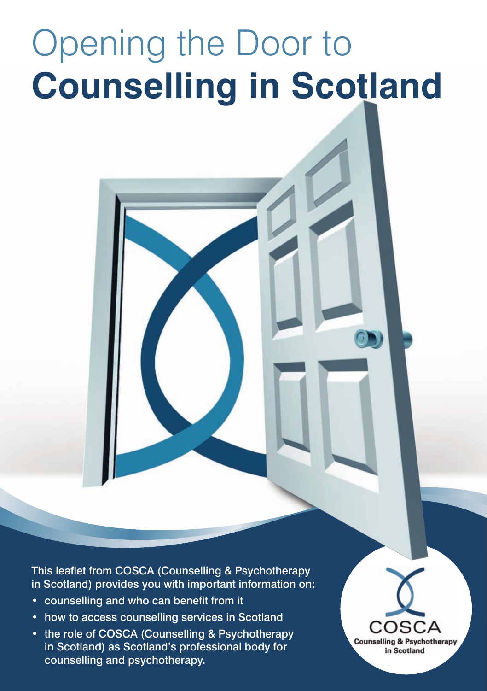# Opening the Door to **Counselling in Scotland**

This leaflet from COSCA (Counselling & Psychotherapy in Scotland) provides you with important information on:

- counselling and who can benefit from it
- how to access counselling services in Scotland
- the role of COSCA (Counselling & Psychotherapy in Scotland) as Scotland's professional body for counselling and psychotherapy.

**Counselling & Psychotherapy** in Scotland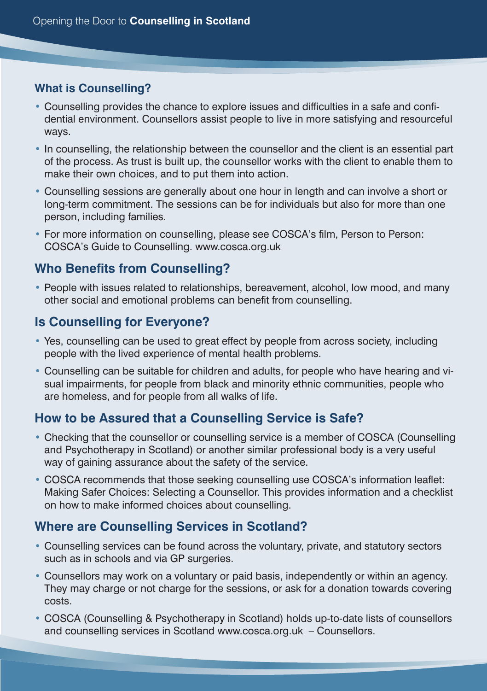#### **What is Counselling?**

- Counselling provides the chance to explore issues and difficulties in a safe and confidential environment. Counsellors assist people to live in more satisfying and resourceful ways.
- In counselling, the relationship between the counsellor and the client is an essential part of the process. As trust is built up, the counsellor works with the client to enable them to make their own choices, and to put them into action.
- Counselling sessions are generally about one hour in length and can involve a short or long-term commitment. The sessions can be for individuals but also for more than one person, including families.
- For more information on counselling, please see COSCA's film, Person to Person: COSCA's Guide to Counselling. www.cosca.org.uk

### **Who Benefits from Counselling?**

• People with issues related to relationships, bereavement, alcohol, low mood, and many other social and emotional problems can benefit from counselling.

#### **Is Counselling for Everyone?**

- Yes, counselling can be used to great effect by people from across society, including people with the lived experience of mental health problems.
- Counselling can be suitable for children and adults, for people who have hearing and visual impairments, for people from black and minority ethnic communities, people who are homeless, and for people from all walks of life.

#### **How to be Assured that a Counselling Service is Safe?**

- Checking that the counsellor or counselling service is a member of COSCA (Counselling and Psychotherapy in Scotland) or another similar professional body is a very useful way of gaining assurance about the safety of the service.
- COSCA recommends that those seeking counselling use COSCA's information leaflet: Making Safer Choices: Selecting a Counsellor. This provides information and a checklist on how to make informed choices about counselling.

#### **Where are Counselling Services in Scotland?**

- Counselling services can be found across the voluntary, private, and statutory sectors such as in schools and via GP surgeries.
- Counsellors may work on a voluntary or paid basis, independently or within an agency. They may charge or not charge for the sessions, or ask for a donation towards covering costs.
- COSCA (Counselling & Psychotherapy in Scotland) holds up-to-date lists of counsellors and counselling services in Scotland www.cosca.org.uk – Counsellors.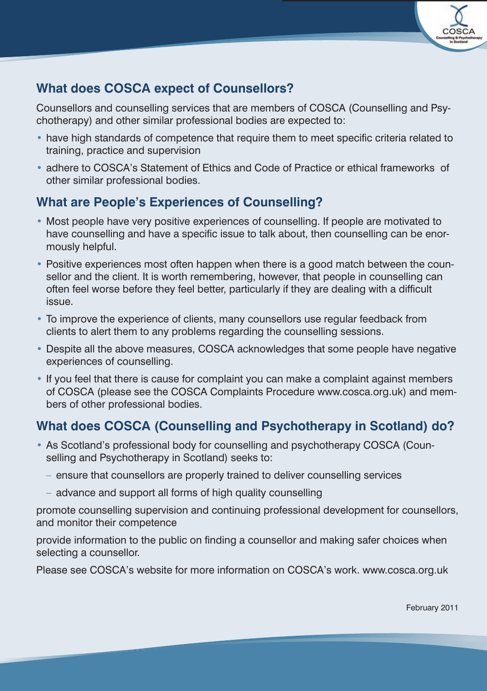

## **What does COSCA expect of Counsellors?**

Counsellors and counselling services that are members of COSCA (Counselling and Psychotherapy) and other similar professional bodies are expected to:

- have high standards of competence that require them to meet specific criteria related to training, practice and supervision
- adhere to COSCA's Statement of Ethics and Code of Practice or ethical frameworks of other similar professional bodies.

## **What are People's Experiences of Counselling?**

- Most people have very positive experiences of counselling. If people are motivated to have counselling and have a specific issue to talk about, then counselling can be enormously helpful.
- Positive experiences most often happen when there is a good match between the counsellor and the client. It is worth remembering, however, that people in counselling can often feel worse before they feel better, particularly if they are dealing with a difficult issue.
- To improve the experience of clients, many counsellors use regular feedback from clients to alert them to any problems regarding the counselling sessions.
- Despite all the above measures, COSCA acknowledges that some people have negative experiences of counselling.
- If you feel that there is cause for complaint you can make a complaint against members of COSCA (please see the COSCA Complaints Procedure www.cosca.org.uk) and members of other professional bodies.

## **What does COSCA (Counselling and Psychotherapy in Scotland) do?**

- As Scotland's professional body for counselling and psychotherapy COSCA (Counselling and Psychotherapy in Scotland) seeks to:
	- ensure that counsellors are properly trained to deliver counselling services
	- advance and support all forms of high quality counselling

promote counselling supervision and continuing professional development for counsellors, and monitor their competence

provide information to the public on finding a counsellor and making safer choices when selecting a counsellor.

Please see COSCA's website for more information on COSCA's work. www.cosca.org.uk

February 2011